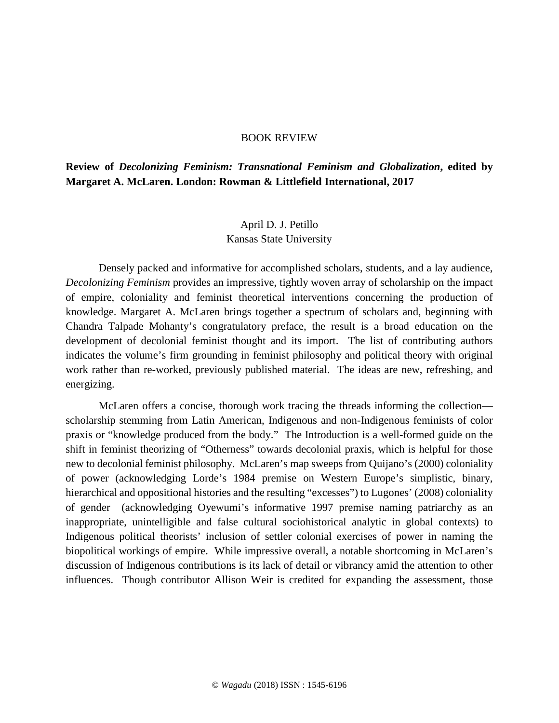## BOOK REVIEW

**Review of** *Decolonizing Feminism: Transnational Feminism and Globalization***, edited by Margaret A. McLaren. London: Rowman & Littlefield International, 2017**

## April D. J. Petillo Kansas State University

Densely packed and informative for accomplished scholars, students, and a lay audience, *Decolonizing Feminism* provides an impressive, tightly woven array of scholarship on the impact of empire, coloniality and feminist theoretical interventions concerning the production of knowledge. Margaret A. McLaren brings together a spectrum of scholars and, beginning with Chandra Talpade Mohanty's congratulatory preface, the result is a broad education on the development of decolonial feminist thought and its import. The list of contributing authors indicates the volume's firm grounding in feminist philosophy and political theory with original work rather than re-worked, previously published material. The ideas are new, refreshing, and energizing.

McLaren offers a concise, thorough work tracing the threads informing the collection scholarship stemming from Latin American, Indigenous and non-Indigenous feminists of color praxis or "knowledge produced from the body." The Introduction is a well-formed guide on the shift in feminist theorizing of "Otherness" towards decolonial praxis, which is helpful for those new to decolonial feminist philosophy. McLaren's map sweeps from Quijano's (2000) coloniality of power (acknowledging Lorde's 1984 premise on Western Europe's simplistic, binary, hierarchical and oppositional histories and the resulting "excesses") to Lugones' (2008) coloniality of gender (acknowledging Oyewumi's informative 1997 premise naming patriarchy as an inappropriate, unintelligible and false cultural sociohistorical analytic in global contexts) to Indigenous political theorists' inclusion of settler colonial exercises of power in naming the biopolitical workings of empire. While impressive overall, a notable shortcoming in McLaren's discussion of Indigenous contributions is its lack of detail or vibrancy amid the attention to other influences. Though contributor Allison Weir is credited for expanding the assessment, those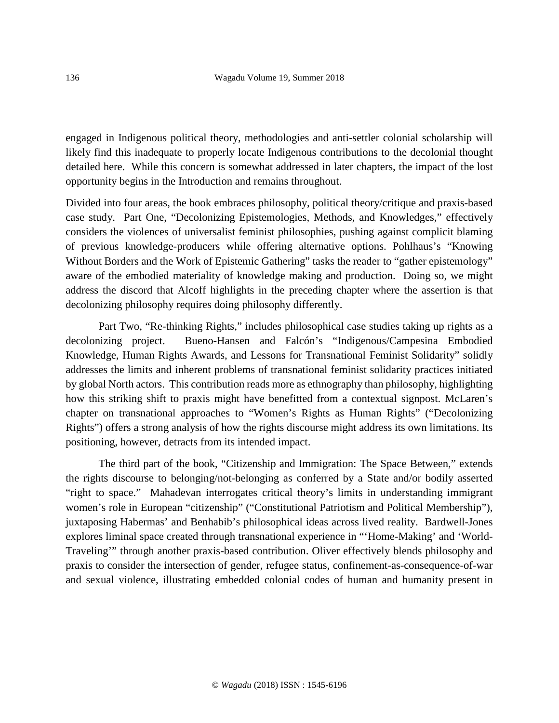engaged in Indigenous political theory, methodologies and anti-settler colonial scholarship will likely find this inadequate to properly locate Indigenous contributions to the decolonial thought detailed here. While this concern is somewhat addressed in later chapters, the impact of the lost opportunity begins in the Introduction and remains throughout.

Divided into four areas, the book embraces philosophy, political theory/critique and praxis-based case study. Part One, "Decolonizing Epistemologies, Methods, and Knowledges," effectively considers the violences of universalist feminist philosophies, pushing against complicit blaming of previous knowledge-producers while offering alternative options. Pohlhaus's "Knowing Without Borders and the Work of Epistemic Gathering" tasks the reader to "gather epistemology" aware of the embodied materiality of knowledge making and production. Doing so, we might address the discord that Alcoff highlights in the preceding chapter where the assertion is that decolonizing philosophy requires doing philosophy differently.

Part Two, "Re-thinking Rights," includes philosophical case studies taking up rights as a decolonizing project. Bueno-Hansen and Falcón's "Indigenous/Campesina Embodied Knowledge, Human Rights Awards, and Lessons for Transnational Feminist Solidarity" solidly addresses the limits and inherent problems of transnational feminist solidarity practices initiated by global North actors. This contribution reads more as ethnography than philosophy, highlighting how this striking shift to praxis might have benefitted from a contextual signpost. McLaren's chapter on transnational approaches to "Women's Rights as Human Rights" ("Decolonizing Rights") offers a strong analysis of how the rights discourse might address its own limitations. Its positioning, however, detracts from its intended impact.

The third part of the book, "Citizenship and Immigration: The Space Between," extends the rights discourse to belonging/not-belonging as conferred by a State and/or bodily asserted "right to space." Mahadevan interrogates critical theory's limits in understanding immigrant women's role in European "citizenship" ("Constitutional Patriotism and Political Membership"), juxtaposing Habermas' and Benhabib's philosophical ideas across lived reality. Bardwell-Jones explores liminal space created through transnational experience in "'Home-Making' and 'World-Traveling'" through another praxis-based contribution. Oliver effectively blends philosophy and praxis to consider the intersection of gender, refugee status, confinement-as-consequence-of-war and sexual violence, illustrating embedded colonial codes of human and humanity present in